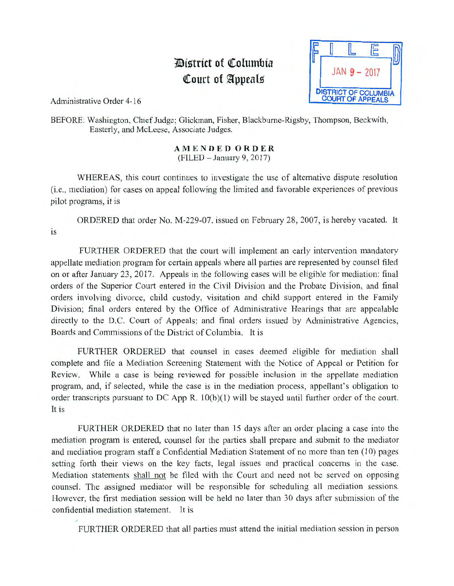## *District of Columbia* **Court of Appeals**



Administrative Order 4-16

BEFORE: Washington, Chief Judge; Glickman, Fisher, Blackbume-Rigsby, Thompson, Beckwith, Easterly, and McLeese, Associate Judges.

## AMENDED ORDER  $(FILED - January 9, 2017)$

WHEREAS, this court continues to investigate the use of alternative dispute resolution (*i.e.*, mediation) for cases on appeal following the limited and favorable experiences of previous pilot programs, it is

ORDERED that order No. M-229-07, issued on February 28, 2007, is hereby vacated. It is

FURTHER ORDERED that the court will implement an early intervention mandatory appellate mediation program for certain appeals where all parties are represented by counsel filed on or after January 23, 2017. Appeals in the following cases will be eligible for mediation: final orders of the Superior Court entered in the Civil Division and the Probate Division, and final orders involving divorce, child custody, visitation and child support entered in the Family Division; final orders entered by the Office of Administrative Hearings that are appealable directly to the D.C. Court of Appeals; and final orders issued by Administrative Agencies, Boards and Commissions of the District of Columbia. It is

FURTHER ORDERED that counsel in cases deemed eligible for mediation shall complete and file a Mediation Screening Statement with the Notice of Appeal or Petition for Review. While a case is being reviewed for possible inclusion in the appellate mediation program, and, if selected, while the case is in the mediation process, appellant's obligation to order transcripts pursuant to DC App R. lO(b)(l) will be stayed until further order of the court. It is

FURTHER ORDERED that no later than 15 days after an order placing a case into the mediation program is entered, counsel for the parties shall prepare and submit to the mediator and mediation program staff a Confidential Mediation Statement of no more than ten (10) pages setting forth their views on the key facts, legal issues and practical concerns in the case. Mediation statements shall not be filed with the Court and need not be served on opposing counsel. The assigned mediator will be responsible for scheduling all mediation sessions. However, the first mediation session will be held no later than 30 days after submission of the confidential mediation statement. It is

FURTHER ORDERED that all parties must attend the initial mediation session in person